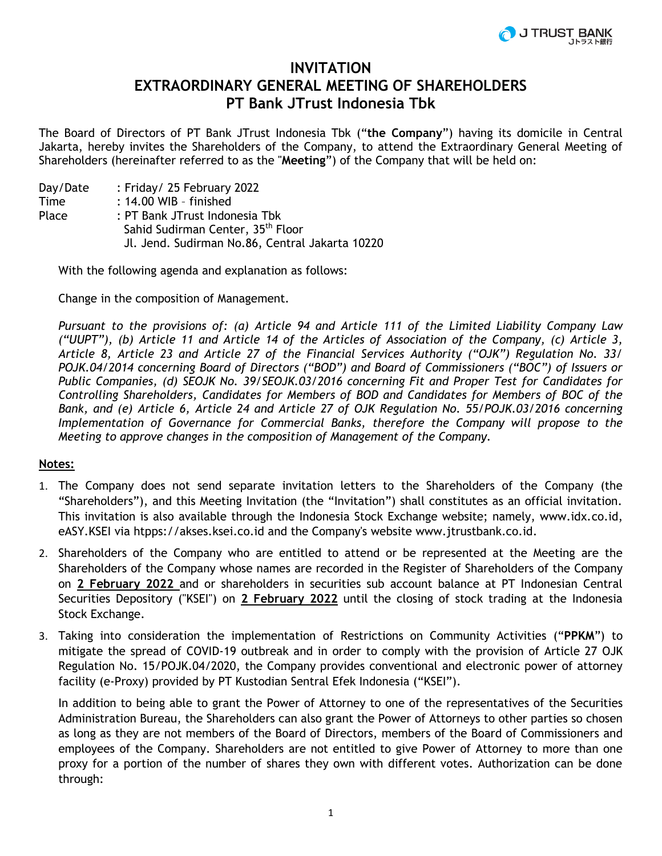

## **INVITATION EXTRAORDINARY GENERAL MEETING OF SHAREHOLDERS PT Bank JTrust Indonesia Tbk**

The Board of Directors of PT Bank JTrust Indonesia Tbk ("**the Company**") having its domicile in Central Jakarta, hereby invites the Shareholders of the Company, to attend the Extraordinary General Meeting of Shareholders (hereinafter referred to as the "**Meeting**") of the Company that will be held on:

Day/Date : Friday/ 25 February 2022 Time : 14.00 WIB - finished Place : PT Bank JTrust Indonesia Tbk Sahid Sudirman Center, 35th Floor Jl. Jend. Sudirman No.86, Central Jakarta 10220

With the following agenda and explanation as follows:

Change in the composition of Management.

*Pursuant to the provisions of: (a) Article 94 and Article 111 of the Limited Liability Company Law ("UUPT"), (b) Article 11 and Article 14 of the Articles of Association of the Company, (c) Article 3, Article 8, Article 23 and Article 27 of the Financial Services Authority ("OJK") Regulation No. 33/ POJK.04/2014 concerning Board of Directors ("BOD") and Board of Commissioners ("BOC") of Issuers or Public Companies, (d) SEOJK No. 39/SEOJK.03/2016 concerning Fit and Proper Test for Candidates for Controlling Shareholders, Candidates for Members of BOD and Candidates for Members of BOC of the Bank, and (e) Article 6, Article 24 and Article 27 of OJK Regulation No. 55/POJK.03/2016 concerning Implementation of Governance for Commercial Banks, therefore the Company will propose to the Meeting to approve changes in the composition of Management of the Company.*

## **Notes:**

- 1. The Company does not send separate invitation letters to the Shareholders of the Company (the "Shareholders"), and this Meeting Invitation (the "Invitation") shall constitutes as an official invitation. This invitation is also available through the Indonesia Stock Exchange website; namely, www.idx.co.id, eASY.KSEI via htpps://akses.ksei.co.id and the Company's website www.jtrustbank.co.id.
- 2. Shareholders of the Company who are entitled to attend or be represented at the Meeting are the Shareholders of the Company whose names are recorded in the Register of Shareholders of the Company on **2 February 2022** and or shareholders in securities sub account balance at PT Indonesian Central Securities Depository ("KSEI") on **2 February 2022** until the closing of stock trading at the Indonesia Stock Exchange.
- 3. Taking into consideration the implementation of Restrictions on Community Activities ("**PPKM**") to mitigate the spread of COVID-19 outbreak and in order to comply with the provision of Article 27 OJK Regulation No. 15/POJK.04/2020, the Company provides conventional and electronic power of attorney facility (e-Proxy) provided by PT Kustodian Sentral Efek Indonesia ("KSEI").

In addition to being able to grant the Power of Attorney to one of the representatives of the Securities Administration Bureau, the Shareholders can also grant the Power of Attorneys to other parties so chosen as long as they are not members of the Board of Directors, members of the Board of Commissioners and employees of the Company. Shareholders are not entitled to give Power of Attorney to more than one proxy for a portion of the number of shares they own with different votes. Authorization can be done through: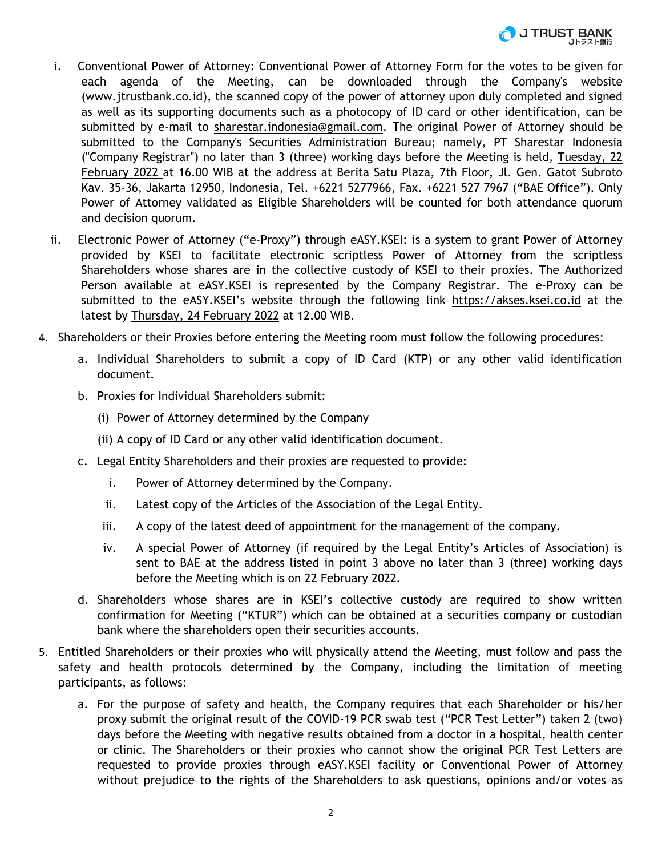

- i. Conventional Power of Attorney: Conventional Power of Attorney Form for the votes to be given for each agenda of the Meeting, can be downloaded through the Company's website (www.jtrustbank.co.id), the scanned copy of the power of attorney upon duly completed and signed as well as its supporting documents such as a photocopy of ID card or other identification, can be submitted by e-mail to sharestar.indonesia@gmail.com. The original Power of Attorney should be submitted to the Company's Securities Administration Bureau; namely, PT Sharestar Indonesia ("Company Registrar") no later than 3 (three) working days before the Meeting is held, Tuesday, 22 February 2022 at 16.00 WIB at the address at Berita Satu Plaza, 7th Floor, Jl. Gen. Gatot Subroto Kav. 35-36, Jakarta 12950, Indonesia, Tel. +6221 5277966, Fax. +6221 527 7967 ("BAE Office"). Only Power of Attorney validated as Eligible Shareholders will be counted for both attendance quorum and decision quorum.
- ii. Electronic Power of Attorney ("e-Proxy") through eASY.KSEI: is a system to grant Power of Attorney provided by KSEI to facilitate electronic scriptless Power of Attorney from the scriptless Shareholders whose shares are in the collective custody of KSEI to their proxies. The Authorized Person available at eASY.KSEI is represented by the Company Registrar. The e-Proxy can be submitted to the eASY.KSEI's website through the following link https://akses.ksei.co.id at the latest by Thursday, 24 February 2022 at 12.00 WIB.
- 4. Shareholders or their Proxies before entering the Meeting room must follow the following procedures:
	- a. Individual Shareholders to submit a copy of ID Card (KTP) or any other valid identification document.
	- b. Proxies for Individual Shareholders submit:
		- (i) Power of Attorney determined by the Company
		- (ii) A copy of ID Card or any other valid identification document.
	- c. Legal Entity Shareholders and their proxies are requested to provide:
		- i. Power of Attorney determined by the Company.
		- ii. Latest copy of the Articles of the Association of the Legal Entity.
		- iii. A copy of the latest deed of appointment for the management of the company.
		- iv. A special Power of Attorney (if required by the Legal Entity's Articles of Association) is sent to BAE at the address listed in point 3 above no later than 3 (three) working days before the Meeting which is on 22 February 2022.
	- d. Shareholders whose shares are in KSEI's collective custody are required to show written confirmation for Meeting ("KTUR") which can be obtained at a securities company or custodian bank where the shareholders open their securities accounts.
- 5. Entitled Shareholders or their proxies who will physically attend the Meeting, must follow and pass the safety and health protocols determined by the Company, including the limitation of meeting participants, as follows:
	- a. For the purpose of safety and health, the Company requires that each Shareholder or his/her proxy submit the original result of the COVID-19 PCR swab test ("PCR Test Letter") taken 2 (two) days before the Meeting with negative results obtained from a doctor in a hospital, health center or clinic. The Shareholders or their proxies who cannot show the original PCR Test Letters are requested to provide proxies through eASY.KSEI facility or Conventional Power of Attorney without prejudice to the rights of the Shareholders to ask questions, opinions and/or votes as